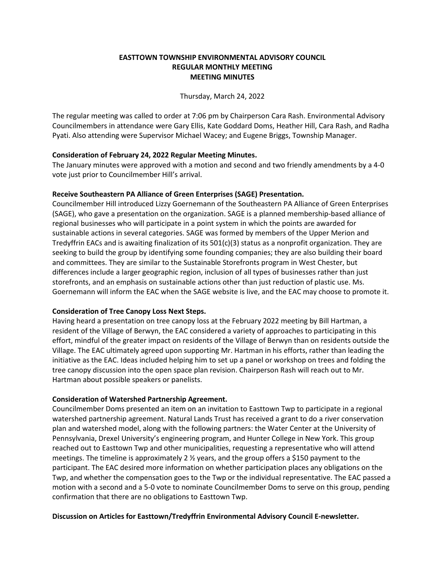## **EASTTOWN TOWNSHIP ENVIRONMENTAL ADVISORY COUNCIL REGULAR MONTHLY MEETING MEETING MINUTES**

Thursday, March 24, 2022

The regular meeting was called to order at 7:06 pm by Chairperson Cara Rash. Environmental Advisory Councilmembers in attendance were Gary Ellis, Kate Goddard Doms, Heather Hill, Cara Rash, and Radha Pyati. Also attending were Supervisor Michael Wacey; and Eugene Briggs, Township Manager.

## **Consideration of February 24, 2022 Regular Meeting Minutes.**

The January minutes were approved with a motion and second and two friendly amendments by a 4-0 vote just prior to Councilmember Hill's arrival.

# **Receive Southeastern PA Alliance of Green Enterprises (SAGE) Presentation.**

Councilmember Hill introduced Lizzy Goernemann of the Southeastern PA Alliance of Green Enterprises (SAGE), who gave a presentation on the organization. SAGE is a planned membership-based alliance of regional businesses who will participate in a point system in which the points are awarded for sustainable actions in several categories. SAGE was formed by members of the Upper Merion and Tredyffrin EACs and is awaiting finalization of its 501(c)(3) status as a nonprofit organization. They are seeking to build the group by identifying some founding companies; they are also building their board and committees. They are similar to the Sustainable Storefronts program in West Chester, but differences include a larger geographic region, inclusion of all types of businesses rather than just storefronts, and an emphasis on sustainable actions other than just reduction of plastic use. Ms. Goernemann will inform the EAC when the SAGE website is live, and the EAC may choose to promote it.

## **Consideration of Tree Canopy Loss Next Steps.**

Having heard a presentation on tree canopy loss at the February 2022 meeting by Bill Hartman, a resident of the Village of Berwyn, the EAC considered a variety of approaches to participating in this effort, mindful of the greater impact on residents of the Village of Berwyn than on residents outside the Village. The EAC ultimately agreed upon supporting Mr. Hartman in his efforts, rather than leading the initiative as the EAC. Ideas included helping him to set up a panel or workshop on trees and folding the tree canopy discussion into the open space plan revision. Chairperson Rash will reach out to Mr. Hartman about possible speakers or panelists.

## **Consideration of Watershed Partnership Agreement.**

Councilmember Doms presented an item on an invitation to Easttown Twp to participate in a regional watershed partnership agreement. Natural Lands Trust has received a grant to do a river conservation plan and watershed model, along with the following partners: the Water Center at the University of Pennsylvania, Drexel University's engineering program, and Hunter College in New York. This group reached out to Easttown Twp and other municipalities, requesting a representative who will attend meetings. The timeline is approximately 2 ½ years, and the group offers a \$150 payment to the participant. The EAC desired more information on whether participation places any obligations on the Twp, and whether the compensation goes to the Twp or the individual representative. The EAC passed a motion with a second and a 5-0 vote to nominate Councilmember Doms to serve on this group, pending confirmation that there are no obligations to Easttown Twp.

## **Discussion on Articles for Easttown/Tredyffrin Environmental Advisory Council E-newsletter.**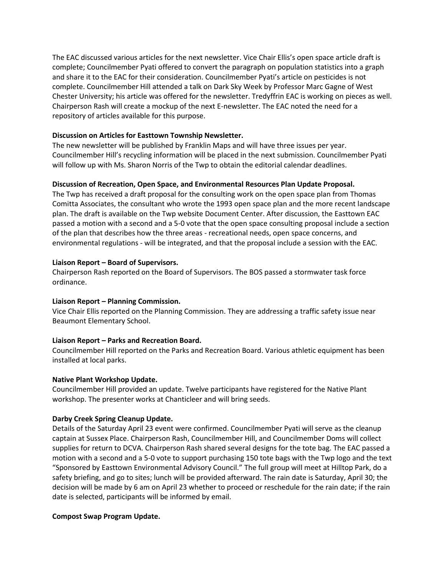The EAC discussed various articles for the next newsletter. Vice Chair Ellis's open space article draft is complete; Councilmember Pyati offered to convert the paragraph on population statistics into a graph and share it to the EAC for their consideration. Councilmember Pyati's article on pesticides is not complete. Councilmember Hill attended a talk on Dark Sky Week by Professor Marc Gagne of West Chester University; his article was offered for the newsletter. Tredyffrin EAC is working on pieces as well. Chairperson Rash will create a mockup of the next E-newsletter. The EAC noted the need for a repository of articles available for this purpose.

## **Discussion on Articles for Easttown Township Newsletter.**

The new newsletter will be published by Franklin Maps and will have three issues per year. Councilmember Hill's recycling information will be placed in the next submission. Councilmember Pyati will follow up with Ms. Sharon Norris of the Twp to obtain the editorial calendar deadlines.

### **Discussion of Recreation, Open Space, and Environmental Resources Plan Update Proposal.**

The Twp has received a draft proposal for the consulting work on the open space plan from Thomas Comitta Associates, the consultant who wrote the 1993 open space plan and the more recent landscape plan. The draft is available on the Twp website Document Center. After discussion, the Easttown EAC passed a motion with a second and a 5-0 vote that the open space consulting proposal include a section of the plan that describes how the three areas - recreational needs, open space concerns, and environmental regulations - will be integrated, and that the proposal include a session with the EAC.

#### **Liaison Report – Board of Supervisors.**

Chairperson Rash reported on the Board of Supervisors. The BOS passed a stormwater task force ordinance.

#### **Liaison Report – Planning Commission.**

Vice Chair Ellis reported on the Planning Commission. They are addressing a traffic safety issue near Beaumont Elementary School.

#### **Liaison Report – Parks and Recreation Board.**

Councilmember Hill reported on the Parks and Recreation Board. Various athletic equipment has been installed at local parks.

#### **Native Plant Workshop Update.**

Councilmember Hill provided an update. Twelve participants have registered for the Native Plant workshop. The presenter works at Chanticleer and will bring seeds.

#### **Darby Creek Spring Cleanup Update.**

Details of the Saturday April 23 event were confirmed. Councilmember Pyati will serve as the cleanup captain at Sussex Place. Chairperson Rash, Councilmember Hill, and Councilmember Doms will collect supplies for return to DCVA. Chairperson Rash shared several designs for the tote bag. The EAC passed a motion with a second and a 5-0 vote to support purchasing 150 tote bags with the Twp logo and the text "Sponsored by Easttown Environmental Advisory Council." The full group will meet at Hilltop Park, do a safety briefing, and go to sites; lunch will be provided afterward. The rain date is Saturday, April 30; the decision will be made by 6 am on April 23 whether to proceed or reschedule for the rain date; if the rain date is selected, participants will be informed by email.

#### **Compost Swap Program Update.**